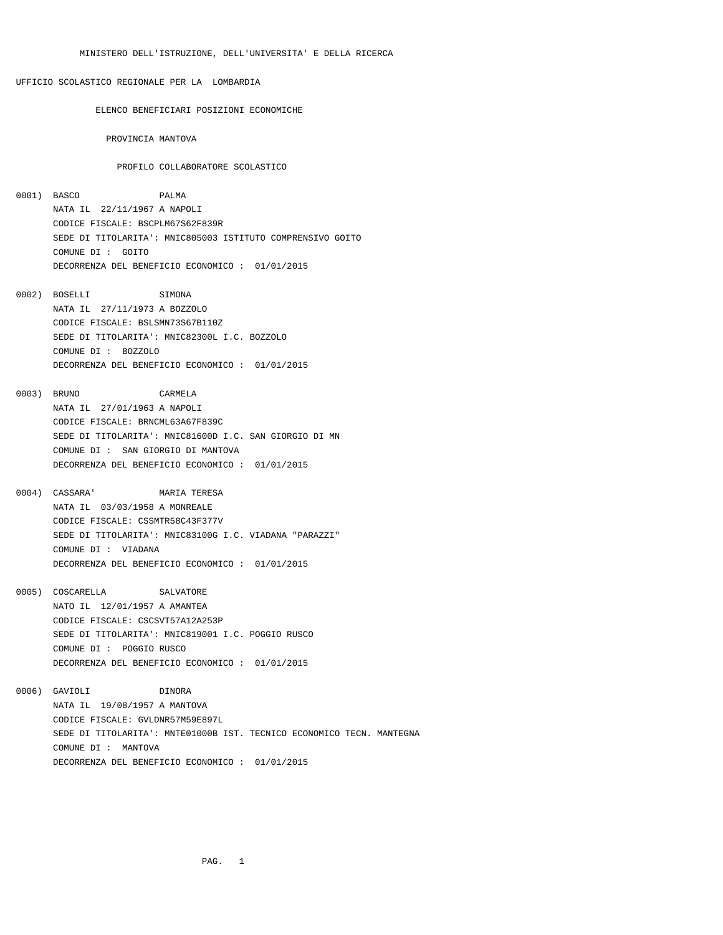## UFFICIO SCOLASTICO REGIONALE PER LA LOMBARDIA

ELENCO BENEFICIARI POSIZIONI ECONOMICHE

PROVINCIA MANTOVA

## PROFILO COLLABORATORE SCOLASTICO

- 0001) BASCO PALMA NATA IL 22/11/1967 A NAPOLI CODICE FISCALE: BSCPLM67S62F839R SEDE DI TITOLARITA': MNIC805003 ISTITUTO COMPRENSIVO GOITO COMUNE DI : GOITO DECORRENZA DEL BENEFICIO ECONOMICO : 01/01/2015
- 0002) BOSELLI SIMONA NATA IL 27/11/1973 A BOZZOLO CODICE FISCALE: BSLSMN73S67B110Z SEDE DI TITOLARITA': MNIC82300L I.C. BOZZOLO COMUNE DI : BOZZOLO DECORRENZA DEL BENEFICIO ECONOMICO : 01/01/2015
- 0003) BRUNO CARMELA NATA IL 27/01/1963 A NAPOLI CODICE FISCALE: BRNCML63A67F839C SEDE DI TITOLARITA': MNIC81600D I.C. SAN GIORGIO DI MN COMUNE DI : SAN GIORGIO DI MANTOVA DECORRENZA DEL BENEFICIO ECONOMICO : 01/01/2015
- 0004) CASSARA' MARIA TERESA NATA IL 03/03/1958 A MONREALE CODICE FISCALE: CSSMTR58C43F377V SEDE DI TITOLARITA': MNIC83100G I.C. VIADANA "PARAZZI" COMUNE DI : VIADANA DECORRENZA DEL BENEFICIO ECONOMICO : 01/01/2015
- 0005) COSCARELLA SALVATORE NATO IL 12/01/1957 A AMANTEA CODICE FISCALE: CSCSVT57A12A253P SEDE DI TITOLARITA': MNIC819001 I.C. POGGIO RUSCO COMUNE DI : POGGIO RUSCO DECORRENZA DEL BENEFICIO ECONOMICO : 01/01/2015
- 0006) GAVIOLI DINORA NATA IL 19/08/1957 A MANTOVA CODICE FISCALE: GVLDNR57M59E897L SEDE DI TITOLARITA': MNTE01000B IST. TECNICO ECONOMICO TECN. MANTEGNA COMUNE DI : MANTOVA DECORRENZA DEL BENEFICIO ECONOMICO : 01/01/2015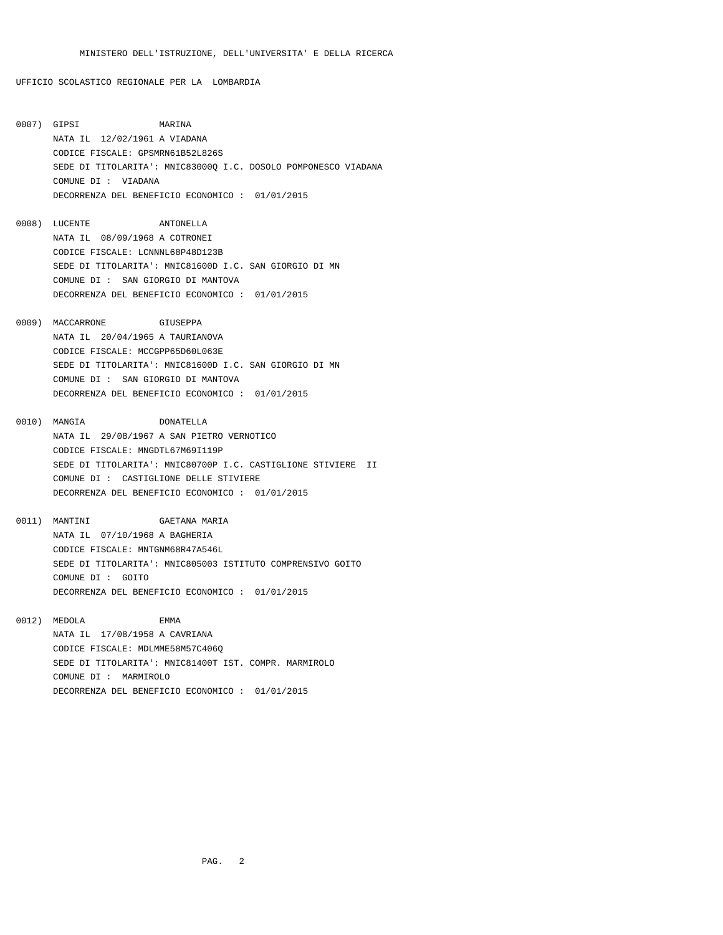UFFICIO SCOLASTICO REGIONALE PER LA LOMBARDIA

- 0007) GIPSI MARINA NATA IL 12/02/1961 A VIADANA CODICE FISCALE: GPSMRN61B52L826S SEDE DI TITOLARITA': MNIC83000Q I.C. DOSOLO POMPONESCO VIADANA COMUNE DI : VIADANA DECORRENZA DEL BENEFICIO ECONOMICO : 01/01/2015
- 0008) LUCENTE ANTONELLA NATA IL 08/09/1968 A COTRONEI CODICE FISCALE: LCNNNL68P48D123B SEDE DI TITOLARITA': MNIC81600D I.C. SAN GIORGIO DI MN COMUNE DI : SAN GIORGIO DI MANTOVA DECORRENZA DEL BENEFICIO ECONOMICO : 01/01/2015
- 0009) MACCARRONE GIUSEPPA NATA IL 20/04/1965 A TAURIANOVA CODICE FISCALE: MCCGPP65D60L063E SEDE DI TITOLARITA': MNIC81600D I.C. SAN GIORGIO DI MN COMUNE DI : SAN GIORGIO DI MANTOVA DECORRENZA DEL BENEFICIO ECONOMICO : 01/01/2015
- 0010) MANGIA DONATELLA NATA IL 29/08/1967 A SAN PIETRO VERNOTICO CODICE FISCALE: MNGDTL67M69I119P SEDE DI TITOLARITA': MNIC80700P I.C. CASTIGLIONE STIVIERE II COMUNE DI : CASTIGLIONE DELLE STIVIERE DECORRENZA DEL BENEFICIO ECONOMICO : 01/01/2015
- 0011) MANTINI GAETANA MARIA NATA IL 07/10/1968 A BAGHERIA CODICE FISCALE: MNTGNM68R47A546L SEDE DI TITOLARITA': MNIC805003 ISTITUTO COMPRENSIVO GOITO COMUNE DI : GOITO DECORRENZA DEL BENEFICIO ECONOMICO : 01/01/2015
- 0012) MEDOLA EMMA NATA IL 17/08/1958 A CAVRIANA CODICE FISCALE: MDLMME58M57C406Q SEDE DI TITOLARITA': MNIC81400T IST. COMPR. MARMIROLO COMUNE DI : MARMIROLO DECORRENZA DEL BENEFICIO ECONOMICO : 01/01/2015